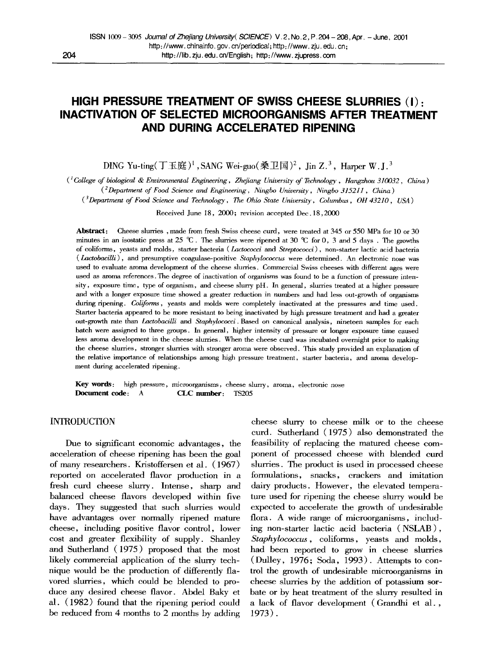# **HIGH PRESSURE TREATMENT OF SWISS CHEESE SLURRIES (I): INACTIVATION OF SELECTED MICROORGANISMS AFTER TREATMENT AND DURING ACCELERATED RIPENING**

DING Yu-ting( $\overline{T}$ 玉庭)<sup>1</sup>, SANG Wei-guo(桑卫国)<sup>2</sup>, Jin Z.<sup>3</sup>, Harper W. J.<sup>3</sup>

*( 1 College of biological & Environmental Engineering, Zhejiang University of Technology, Hangzhou 310032, China )* 

*(eDepartment of Food Science and Engineering, Ningbo University, Ningbo 315211 , China )* 

*( 3Department of Food Science and Technology, The Ohio State University, Columbus, OH 43210, USA )* 

Received June 18, 2000; revision accepted Dec. 18,2000

Abstract: Cheese slurries , made from fresh Swiss cheese curd, were treated at 345 or 550 MPa for 10 or 30 minutes in an isostatic press at 25  $\mathscr{C}$ . The slurries were ripened at 30  $\mathscr{C}$  for 0, 3 and 5 days. The growths of coliforms, yeasts and molds, starter bacteria ( *Lactococci and Streptococci ),* non-starter lactic acid bacteria *( Lactobacilli),* and presumptive coagulase-positive *Staphylococcus* were determined. An electronic nose was used to evaluate aroma development of the cheese slurries. Commercial Swiss cheeses with different ages were used as aroma references. The degree of inactivation of organisms was found to be a function of pressure intensity, exposure time, type of organism, and cheese slurry pH. In general, slurries treated at a higher pressure and with a longer exposure time showed a greater reduction in numbers and had less out-growth of organisms during ripening. *Coliforms*, yeasts and molds were completely inactivated at the pressures and time used. Starter bacteria appeared to be more resistant to being inactivated by high pressure treatment and had a greater out-growth rate than *Lactobacilli and Staphylococci.* Based on canonical analysis, nineteen samples for each batch were assigned to three groups. In general, higher intensity of pressure or longer exposure time caused less aroma development in the cheese slurries. When the cheese curd was incubated overnight prior to making the cheese slurries, stronger slurries with stronger aroma were observed. This study provided an explanation of the relative importance of relationships among high pressure treatment, starter bacteria, and aroma development during accelerated ripening.

**Key** words: high pressure, microorganisms, cheese slurry, aroma, electronic nose **Document code:** A **CLC number: TS205** 

# INTRODUCTION

Due to significant economic advantages, the acceleration of cheese ripening has been the goal of many researchers. Kristoffersen et al. (1967) reported on accelerated flavor production in a fresh curd cheese slurry. Intense, sharp and balanced cheese flavors developed within five days. They suggested that such slurries would have advantages over normally ripened mature cheese, including positive flavor control, lower cost and greater flexibility of supply. Shanley and Sutherland (1975) proposed that the most likely commercial application of the slurry technique would be the production of differently flavored slurries, which could be blended to produce any desired cheese flavor. Abdel Baky et al. (1982) found that the ripening period could be reduced from 4 months to 2 months by adding

cheese slurry to cheese milk or to the cheese curd. Sutherland (1975) also demonstrated the feasibility of replacing the matured cheese component of processed cheese with blended curd slurries. The product is used in processed cheese formulations, snacks, crackers and imitation dairy products. However, the elevated temperature used for ripening the cheese slurry would be expected to accelerate the growth of undesirable flora. A wide range of microorganisms, including non-starter lactic acid bacteria (NSLAB), *Staphylococcus,* coliforms, yeasts and molds, had been reported to grow in cheese slurries  $(Dulley, 1976; Soda, 1993)$ . Attempts to control the growth of undesirable microorganisms in cheese slurries by the addition of potassium sorbate or by heat treatment of the slurry resulted in a lack of flavor development (Grandhi et al., 1973).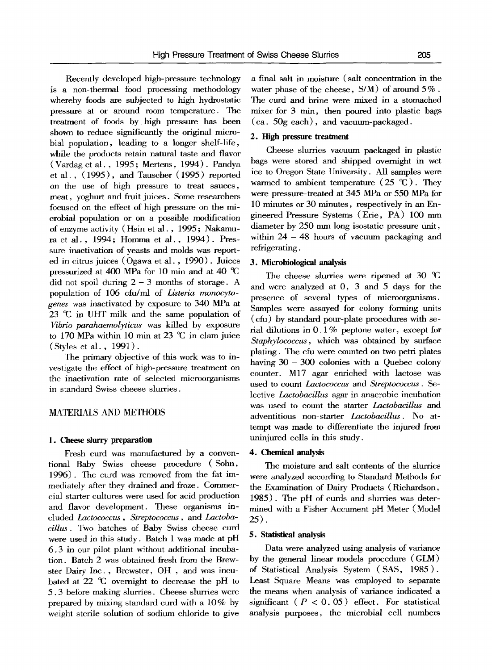Recently developed high-pressure technology is a non-thermal food processing methodology whereby foods are subjected to high hydrostatic pressure at or around room temperature. The treatment of foods by high pressure has been shown to reduce significantly the original microbial population, leading to a longer shelf-life, while the products retain natural taste and flavor (Vardag et al., 1995 ; Mertens, 1994). Pandya et al., (1995), and Tauscher (1995) reported on the use of high pressure to treat sauces, meat, yoghurt and fruit juices. Some researchers focused on the effect of high pressure on the microbial population or on a possible modification of enzyme activity (Hsin et al. , 1995 ; Nakamura et al., 1994; Homma et al., 1994). Pressure inactivation of yeasts and molds was reported in citrus juices (Ogawa et al. , 1990). Juices pressurized at 400 MPa for 10 min and at 40  $\degree$ C did not spoil during  $2 - 3$  months of storage. A population of 106 cfu/ml of *Listeria monocytogenes* was inactivated by exposure to 340 MPa at 23  $\mathcal{C}$  in UHT milk and the same population of *Vibrio parahaemolyticus* was killed by exposure to 170 MPa within 10 min at 23  $\degree$ C in clam juice (Styles et al. , 1991).

The primary objective of this work was to investigate the effect of high-pressure treatment on the inactivation rate of selected microorganisms in standard Swiss cheese slurries.

# MATERIALS AND METHODS

#### **1. Cheese slurry preparation**

Fresh curd was manufactured by a conventional Baby Swiss cheese procedure (Sohn, 1996). The curd was removed from the fat immediately after they drained and froze. Commercial starter cultures were used for acid production and flavor development. These organisms included *Lactococcus , Streptococcus,* and *Lactobacillus.* Two batches of Baby Swiss cheese curd were used in this study. Batch 1 was made at pH 6.3 in our pilot plant without additional incubation. Batch 2 was obtained fresh from the Brewster Dairy Inc., Brewster, OH , and was incubated at 22  $\degree$ C overnight to decrease the pH to 5.3 before making slurries. Cheese slurries were prepared by mixing standard curd with a 10% by weight sterile solution of sodium chloride to give

a final salt in moisture (salt concentration in the water phase of the cheese,  $S/M$ ) of around  $5\%$ . The curd and brine were mixed in a stomached mixer for 3 min, then poured into plastic bags (ca. 50g each), and vacuum-packaged.

#### **2. High pressure treatment**

Cheese slurries vacuum packaged in plastic bags were stored and shipped overnight in wet ice to Oregon State University. All samples were warmed to ambient temperature  $(25 \text{ } ^\circ\text{C})$ . They were pressure-treated at 345 MPa or *550* MPa for 10 minutes or 30 minutes, respectively in an Engineered Pressure Systems (Erie, PA) 100 mm diameter by 250 mm long isostatic pressure unit, within  $24 - 48$  hours of vacuum packaging and refrigerating.

# **3. Microbiological** analysis

The cheese slurries were ripened at 30  $\textdegree$ C and were analyzed at 0, 3 and 5 days for the presence of several types of microorganisms. Samples were assayed for colony forming units (cfu) by standard pour-plate procedures with serial dilutions in 0.1% peptone water, except for *Staphylococcus,* which was obtained by surface plating. The cfu were counted on two petri plates having  $30 - 300$  colonies with a Quebec colony counter. M17 agar enriched with lactose was used to count *Lactococcus and Streptococcus. Se*lective *Lactobacillus* agar in anaerobic incubation was used to count the starter *Lactobacillus* and adventitious non-starter *Lactobacillus.* No attempt was made to differentiate the injured from uninjured cells in this study.

### 4. Chemical analysis

The moisture and salt contents of the slurries were analyzed according to Standard Methods for the Examination of Dairy Products (Richardson, 1985). The pH of curds and slurries was determined with a Fisher Accument pH Meter (Model 25).

# 5. Statistical analysis

Data were analyzed using analysis of variance by the general linear models procedure (GLM) of Statistical Analysis System ( SAS, 1985 ). Least Square Means was employed to separate the means when analysis of variance indicated a significant ( $P < 0.05$ ) effect. For statistical analysis purposes, the microbial cell numbers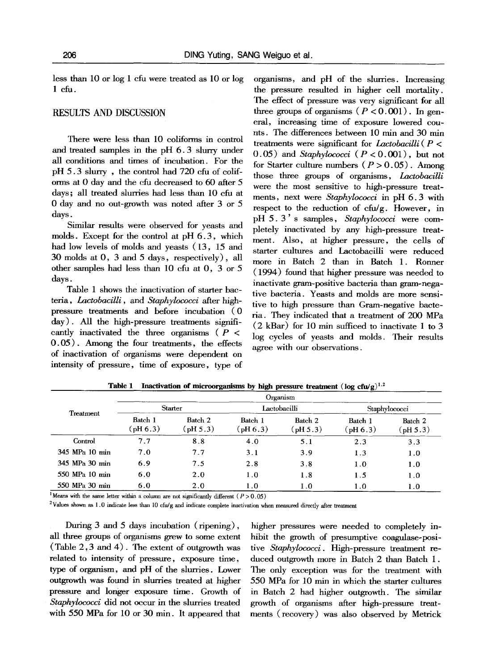less than 10 or log 1 cfu were treated as 10 or log 1 cfu.

# RESULTS AND DISCUSSION

There were less than 10 coliforms in control and treated samples in the pH 6.3 slurry under all conditions and times of incubation. For the pH 5.3 slurry , the control had 720 cfu of coliforms at 0 day and the cfu decreased to 60 after 5 days; all treated slurries had less than 10 cfu at 0 day and no out-growth was noted after 3 or 5 days.

Similar results were observed for yeasts and molds. Except for the control at pH 6.3, which had low levels of molds and yeasts (13, 15 and 30 molds at O, 3 and 5 days, respectively), all other samples had less than 10 cfu at 0, 3 or 5 days.

Table 1 shows the inactivation of starter bacteria, *Lactobacilli,* and *Staphylococci* after highpressure treatments and before incubation (0 day). All the high-pressure treatments significantly inactivated the three organisms ( $P \leq$ 0.05). Among the four treatments, the effects of inactivation of organisms were dependent on intensity of pressure, time of exposure, type of

organisms, and pH of the slurries. Increasing the pressure resulted in higher cell mortality. The effect of pressure was very significant for all three groups of organisms  $(P < 0.001)$ . In general, increasing time of exposure lowered counts. The differences between 10 min and 30 min treatments were significant for *l\_actobacilli (P <*   $(0.05)$  and *Staphylococci*  $(P < 0.001)$ , but not for Starter culture numbers  $(P > 0.05)$ . Among those three groups of organisms, *Lactobacilli*  were the most sensitive to high-pressure treatments, next were *Staphylococci* in pH 6.3 with respect to the reduction of cfu/g. However, in pH 5.3 ' s samples, *Staphylococci* were completely inactivated by any high-pressure treatment. Also, at higher pressure, the cells of starter cultures and Lactobacilli were reduced more in Batch 2 than in Batch 1. Ronner (1994) found that higher pressure was needed to inactivate gram-positive bacteria than gram-negative bacteria. Yeasts and molds are more sensitive to high pressure than Gram-negative bacteria. They indicated that a treatment of 200 MPa  $(2 \text{ kBar})$  for 10 min sufficed to inactivate 1 to 3 log cycles of yeasts and molds. Their results agree with our observations.

| Treatment      | Organism               |                              |                              |                          |                              |                              |  |
|----------------|------------------------|------------------------------|------------------------------|--------------------------|------------------------------|------------------------------|--|
|                | <b>Starter</b>         |                              | Lactobacilli                 |                          | Staphylococci                |                              |  |
|                | Batch 1<br>$($ pH 6.3) | Batch 2<br>$(\text{pH }5.3)$ | Batch 1<br>$(\text{pH }6.3)$ | Batch 2<br>$phi$ BH 5.3) | Batch 1<br>$(\text{pH }6.3)$ | Batch 2<br>$(\text{pH }5.3)$ |  |
| Control        | 7.7                    | 8.8                          | 4.0                          | 5.1                      | 2.3                          | 3.3                          |  |
| 345 MPa 10 min | 7.0                    | 7.7                          | 3.1                          | 3.9                      | 1.3                          | 1.0                          |  |
| 345 MPa 30 min | 6.9                    | 7.5                          | 2.8                          | 3.8                      | 1.0                          | 1.0                          |  |
| 550 MPa 10 min | 6.0                    | 2.0                          | 1.0                          | 1.8                      | 1.5                          | 1.0                          |  |
| 550 MPa 30 min | 6.0                    | 2.0                          | 1.0                          | 1.0                      | 1.0                          | 1.0                          |  |

**Table 1** Inactivation of microorganisms by high pressure treatment  $(\log c f u/g)^{1,2}$ 

<sup>1</sup> Means with the same letter within a column are not significantly different ( $P > 0.05$ )

<sup>2</sup>Values shown as 1.0 indicate less than 10 cfu/g and indicate complete inactivation when measured directly after treatment

During 3 and 5 days incubation (ripening), all three groups of organisms grew to some extent (Table 2,3 and 4). The extent of outgrowth was related to intensity of pressure, exposure time, type of organism, and pH of the slurries. Lower outgrowth was found in slurries treated at higher pressure and longer exposure time. Growth of *Staphylococci* did not occur in the slurries treated with 550 MPa for 10 or 30 min. It appeared that

higher pressures were needed to completely inhibit the growth of presumptive coagulase-positire *Staphylococci.* High-pressure treatment reduced outgrowth more in Batch 2 than Batch 1. The only exception was for the treatment with *550* MPa for 10 min in which the starter cultures in Batch 2 had higher outgrowth. The similar growth of organisms after high-pressure treatments (recovery) was also observed by Metrick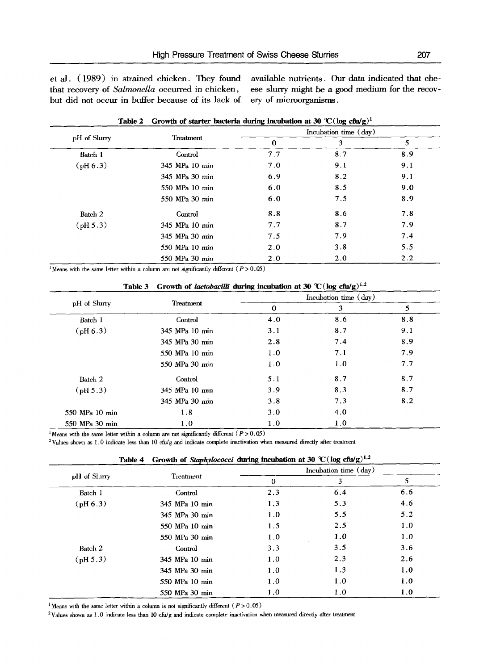et al. (1989) in strained chicken. They found that recovery of *Salmonella* occurred in chicken, but did not occur in buffer because of its lack of ery of microorganisms.

available nutrients. Our data indicated that cheese slurry might be a good medium for the recov-

| Table 2            | Growth of starter bacteria during incubation at 30 °C (log cfu/g) <sup>1</sup> |          |                       |     |
|--------------------|--------------------------------------------------------------------------------|----------|-----------------------|-----|
|                    |                                                                                |          | Incubation time (day) |     |
| pH of Slurry       | Treatment                                                                      | $\bf{0}$ | 3                     | 5   |
| Batch 1            | Control                                                                        | 7.7      | 8.7                   | 8.9 |
| $(\text{pH } 6.3)$ | 345 MPa 10 min                                                                 | 7.0      | 9.1                   | 9.1 |
|                    | 345 MPa 30 min                                                                 | 6.9      | 8.2                   | 9.1 |
|                    | 550 MPa 10 min                                                                 | 6.0      | 8.5                   | 9.0 |
|                    | 550 MPa 30 min                                                                 | 6.0      | 7.5                   | 8.9 |
| Batch 2            | Control                                                                        | 8.8      | 8.6                   | 7.8 |
| $(\text{pH } 5.3)$ | 345 MPa 10 min                                                                 | 7.7      | 8.7                   | 7.9 |
|                    | 345 MPa 30 min                                                                 | 7.5      | 7.9                   | 7.4 |
|                    | 550 MPa 10 min                                                                 | 2.0      | 3.8                   | 5.5 |
|                    | 550 MPa 30 min                                                                 | 2.0      | 2.0                   | 2.2 |

<sup>1</sup>Means with the same letter within a column are not significantly different ( $P > 0.05$ )

|                    | Table 3        | Growth of <i>lactobacilli</i> during incubation at 30 °C (log cfu/g) <sup>1,2</sup> |                       |     |
|--------------------|----------------|-------------------------------------------------------------------------------------|-----------------------|-----|
|                    |                |                                                                                     | Incubation time (day) |     |
| pH of Slurry       | Treatment      | 0                                                                                   | 3                     | 5   |
| Batch 1            | Control        | 4.0                                                                                 | 8.6                   | 8.8 |
| (pH 6.3)           | 345 MPa 10 min | 3.1                                                                                 | 8.7                   | 9.1 |
|                    | 345 MPa 30 min | 2.8                                                                                 | 7.4                   | 8.9 |
|                    | 550 MPa 10 min | 1.0                                                                                 | 7.1                   | 7.9 |
|                    | 550 MPa 30 min | 1.0                                                                                 | 1.0                   | 7.7 |
| Batch 2            | Control        | 5.1                                                                                 | 8.7                   | 8.7 |
| $(\text{pH } 5.3)$ | 345 MPa 10 min | 3.9                                                                                 | 8.3                   | 8.7 |
|                    | 345 MPa 30 min | 3.8                                                                                 | 7.3                   | 8.2 |
| 550 MPa 10 min     | 1.8            | 3.0                                                                                 | 4.0                   |     |
| 550 MPa 30 min     | 1.0            | 1.0                                                                                 | 1.0                   |     |

<sup>1</sup> Means with the same letter within a column are not significantly different ( $P>0.05$ )

2Values shown as 1,0 indicate less than 10 cfu/g and indicate complete inactivation when measured directly after treatment

|              |                |          | Incubation time (day) |     |  |
|--------------|----------------|----------|-----------------------|-----|--|
| pH of Slurry | Treatment      | $\bf{0}$ | 3                     | 5   |  |
| Batch 1      | Control        | 2.3      | 6.4                   | 6.6 |  |
| (pH 6.3)     | 345 MPa 10 min | 1.3      | 5.3                   | 4.6 |  |
|              | 345 MPa 30 min | 1.0      | 5.5                   | 5.2 |  |
|              | 550 MPa 10 min | 1.5      | 2.5                   | 1.0 |  |
|              | 550 MPa 30 min | 1.0      | 1.0                   | 1.0 |  |
| Batch 2      | Control        | 3.3      | 3.5                   | 3.6 |  |
| (pH 5.3)     | 345 MPa 10 min | 1.0      | 2.3                   | 2.6 |  |
|              | 345 MPa 30 min | 1.0      | 1.3                   | 1.0 |  |
|              | 550 MPa 10 min | 1.0      | 1.0                   | 1.0 |  |
|              | 550 MPa 30 min | 1.0      | 1.0                   | 1.0 |  |

**Table 4** Growth of *Staphylococci* during incubation at 30  $\mathcal{C}$  (log cfu/g)<sup>1,2</sup>

<sup>1</sup> Means with the same letter within a column is not significantly different ( $P > 0.05$ )

 $2$ Values shown as 1.0 indicate less than 10 cfu/g and indicate complete inactivation when measured directly after treatment